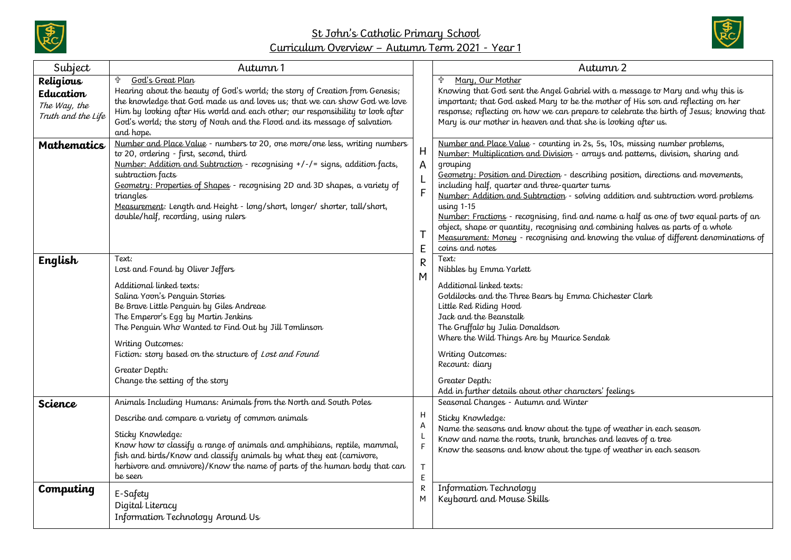

## St John's Catholic Primary School Curriculum Overview – Autumn Term 2021 - Year 1



| Subject                                                      | Autumn 1                                                                                                                                                                                                                                                                                                                                                                                                                                  |                                      | Autumn 2                                                                                                                                                                                                                                                                                                                                                                                                                                                                                                                                                                                                                                                                                                     |
|--------------------------------------------------------------|-------------------------------------------------------------------------------------------------------------------------------------------------------------------------------------------------------------------------------------------------------------------------------------------------------------------------------------------------------------------------------------------------------------------------------------------|--------------------------------------|--------------------------------------------------------------------------------------------------------------------------------------------------------------------------------------------------------------------------------------------------------------------------------------------------------------------------------------------------------------------------------------------------------------------------------------------------------------------------------------------------------------------------------------------------------------------------------------------------------------------------------------------------------------------------------------------------------------|
| Religious<br>Education<br>The Way, the<br>Truth and the Life | ╬<br>God's Great Plan<br>Hearing about the beauty of God's world; the story of Creation from Genesis;<br>the knowledge that God made us and loves us; that we can show God we love<br>Him by looking after His world and each other; our responsibility to look after<br>God's world; the story of Noah and the Flood and its message of salvation<br>and hope.                                                                           | H<br>A<br>$\mathsf F$<br>E<br>R<br>M | Mary, Our Mother<br>╬<br>Knowing that God sent the Angel Gabriel with a message to Mary and why this is<br>important; that God asked Mary to be the mother of His son and reflecting on her<br>response; reflecting on how we can prepare to celebrate the birth of Jesus; knowing that<br>Mary is our mother in heaven and that she is looking after us.                                                                                                                                                                                                                                                                                                                                                    |
| <b>Mathematics</b>                                           | Number and Place Value - numbers to 20, one more/one less, writing numbers<br>to 20, ordering - first, second, third<br>Number: Addition and Subtraction - recognising +/-/= signs, addition facts,<br>subtraction facts<br>Geometry: Properties of Shapes - recognising 2D and 3D shapes, a variety of<br>triangles<br>Measurement: Length and Height - long/short, longer/ shorter, tall/short,<br>double/half, recording, using rulers |                                      | Number and Place Value - counting in 2s, 5s, 10s, missing number problems,<br>Number: Multiplication and Division - arrays and patterns, division, sharing and<br>grouping<br>Geometry: Position and Direction - describing position, directions and movements,<br>including half, quarter and three-quarter turns<br>Number: Addition and Subtraction - solving addition and subtraction word problems<br>using 1-15<br>Number: Fractions - recognising, find and name a half as one of two equal parts of an<br>object, shape or quantity, recognising and combining halves as parts of a whole<br>Measurement: Money - recognising and knowing the value of different denominations of<br>coins and notes |
| English                                                      | Text:<br>Lost and Found by Oliver Jeffers<br>Additional linked texts:<br>Salina Yoon's Penguin Stories<br>Be Brave Little Penquin by Giles Andreae<br>The Emperor's Eqq by Martin Jenkins<br>The Penguin Who Wanted to Find Out by Jill Tomlinson<br>Writing Outcomes:<br>Fiction: story based on the structure of Lost and Found<br>Greater Depth:<br>Change the setting of the story                                                    |                                      | Text:<br>Nibbles by Emma Yarlett<br>Additional linked texts:<br>Goldilocks and the Three Bears by Emma Chichester Clark<br>Little Red Riding Hood<br>Jack and the Beanstalk<br>The Gruffalo by Julia Donaldson<br>Where the Wild Things Are by Maurice Sendak<br>Writing Outcomes:<br>Recount: diary<br>Greater Depth:<br>Add in further details about other characters' feelings                                                                                                                                                                                                                                                                                                                            |
| <b>Science</b><br>Computing                                  | Animals Including Humans: Animals from the North and South Poles<br>Describe and compare a variety of common animals<br>Sticky Knowledge:<br>Know how to classify a range of animals and amphibians, reptile, mammal,<br>fish and birds/Know and classify animals by what they eat (carnivore,<br>herbivore and omnivore)/Know the name of parts of the human body that can<br>be seen<br>E-Safety                                        | Н<br>Α<br>T<br>E<br>R<br>М           | Seasonal Changes - Autumn and Winter<br>Sticky Knowledge:<br>Name the seasons and know about the type of weather in each season<br>Know and name the roots, trunk, branches and leaves of a tree<br>Know the seasons and know about the type of weather in each season<br>Information Technology<br>Keyboard and Mouse Skills                                                                                                                                                                                                                                                                                                                                                                                |
|                                                              | Digital Literacy<br>Information Technology Around Us                                                                                                                                                                                                                                                                                                                                                                                      |                                      |                                                                                                                                                                                                                                                                                                                                                                                                                                                                                                                                                                                                                                                                                                              |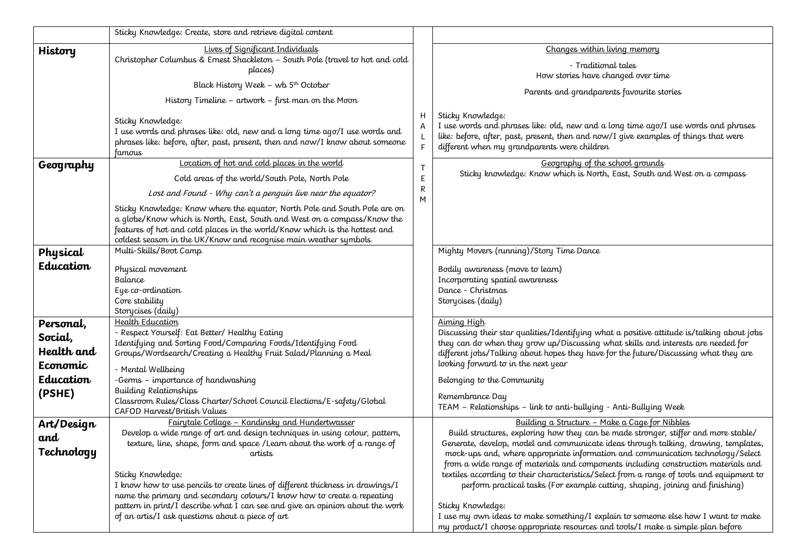|            | Sticky Knowledge: Create, store and retrieve digital content                                                                                                                                                                                                                                            |        |                                                                                                                                                                                                                                                 |
|------------|---------------------------------------------------------------------------------------------------------------------------------------------------------------------------------------------------------------------------------------------------------------------------------------------------------|--------|-------------------------------------------------------------------------------------------------------------------------------------------------------------------------------------------------------------------------------------------------|
| History    | Lives of Significant Individuals                                                                                                                                                                                                                                                                        |        | Changes within living memory                                                                                                                                                                                                                    |
|            | Christopher Columbus & Ernest Shackleton - South Pole (travel to hot and cold                                                                                                                                                                                                                           |        | - Traditional tales                                                                                                                                                                                                                             |
|            | places)                                                                                                                                                                                                                                                                                                 |        | How stories have changed over time                                                                                                                                                                                                              |
|            | Black History Week - wb 5 <sup>th</sup> October                                                                                                                                                                                                                                                         |        | Parents and grandparents favourite stories                                                                                                                                                                                                      |
|            | History Timeline - artwork - first man on the Moon                                                                                                                                                                                                                                                      |        |                                                                                                                                                                                                                                                 |
|            | Sticky Knowledge:<br>I use words and phrases like: old, new and a long time ago/I use words and<br>phrases like: before, after, past, present, then and now/I know about someone<br>famous                                                                                                              | H      | Sticky Knowledge:<br>I use words and phrases like: old, new and a long time ago/I use words and phrases<br>like: before, after, past, present, then and now/I give examples of things that were<br>different when my grandparents were children |
| Geography  | Location of hot and cold places in the world                                                                                                                                                                                                                                                            |        | Geography of the school grounds                                                                                                                                                                                                                 |
|            | Cold areas of the world/South Pole, North Pole                                                                                                                                                                                                                                                          | E      | Sticky knowledge: Know which is North, East, South and West on a compass                                                                                                                                                                        |
|            | Lost and Found - Why can't a penguin live near the equator?                                                                                                                                                                                                                                             | R<br>M |                                                                                                                                                                                                                                                 |
|            | Sticky Knowledge: Know where the equator, North Pole and South Pole are on<br>a globe/Know which is North, East, South and West on a compass/Know the<br>features of hot and cold places in the world/Know which is the hottest and<br>coldest season in the UK/Know and recognise main weather symbols |        |                                                                                                                                                                                                                                                 |
| Physical   | Multi-Skills/Boot Camp                                                                                                                                                                                                                                                                                  |        | Mighty Movers (running)/Story Time Dance                                                                                                                                                                                                        |
| Education  | Physical movement<br>Balance<br>Eye co-ordination<br>Core stability<br>Storycises (daily)                                                                                                                                                                                                               |        | Bodily awareness (move to learn)<br>Incorporating spatial awareness<br>Dance - Christmas<br>Storycises (daily)                                                                                                                                  |
| Personal,  | <b>Health Education</b>                                                                                                                                                                                                                                                                                 |        | Aiming High                                                                                                                                                                                                                                     |
| Social,    | - Respect Yourself: Eat Better/ Healthy Eating                                                                                                                                                                                                                                                          |        | Discussing their star qualities/Identifying what a positive attitude is/talking about jobs                                                                                                                                                      |
| Health and | Identifying and Sorting Food/Comparing Foods/Identifying Food<br>Groups/Wordsearch/Creating a Healthy Fruit Salad/Planning a Meal                                                                                                                                                                       |        | they can do when they grow up/Discussing what skills and interests are needed for<br>different jobs/Talking about hopes they have for the future/Discussing what they are                                                                       |
| Economic   |                                                                                                                                                                                                                                                                                                         |        | looking forward to in the next year                                                                                                                                                                                                             |
| Education  | - Mental Wellbeing<br>-Germs - importance of handwashing                                                                                                                                                                                                                                                |        | Belonging to the Community                                                                                                                                                                                                                      |
| (PSHE)     | <b>Building Relationships</b>                                                                                                                                                                                                                                                                           |        |                                                                                                                                                                                                                                                 |
|            | Classroom Rules/Class Charter/School Council Elections/E-safety/Global                                                                                                                                                                                                                                  |        | Remembrance Day<br>TEAM - Relationships - link to anti-bullying - Anti-Bullying Week                                                                                                                                                            |
|            | CAFOD Harvest/British Values                                                                                                                                                                                                                                                                            |        |                                                                                                                                                                                                                                                 |
| Art/Design | Fairytale Collage - Kandinsky and Hundertwasser<br>Develop a wide range of art and design techniques in using colour, pattern,                                                                                                                                                                          |        | Building a Structure - Make a Cage for Nibbles<br>Build structures, exploring how they can be made stronger, stiffer and more stable/                                                                                                           |
| and        | texture, line, shape, form and space / Learn about the work of a range of                                                                                                                                                                                                                               |        | Generate, develop, model and communicate ideas through talking, drawing, templates,                                                                                                                                                             |
| Technology | artists                                                                                                                                                                                                                                                                                                 |        | mock-ups and, where appropriate information and communication technology/Select                                                                                                                                                                 |
|            |                                                                                                                                                                                                                                                                                                         |        | from a wide range of materials and components including construction materials and                                                                                                                                                              |
|            | Sticky Knowledge:<br>I know how to use pencils to create lines of different thickness in drawings/I                                                                                                                                                                                                     |        | textiles according to their characteristics/Select from a range of tools and equipment to<br>perform practical tasks (For example cutting, shaping, joining and finishing)                                                                      |
|            | name the primary and secondary colours/I know how to create a repeating                                                                                                                                                                                                                                 |        |                                                                                                                                                                                                                                                 |
|            | pattern in print/I describe what I can see and give an opinion about the work                                                                                                                                                                                                                           |        | Sticky Knowledge:                                                                                                                                                                                                                               |
|            | of an artis/I ask questions about a piece of art                                                                                                                                                                                                                                                        |        | I use my own ideas to make something/I explain to someone else how I want to make                                                                                                                                                               |
|            |                                                                                                                                                                                                                                                                                                         |        | my product/I choose appropriate resources and tools/I make a simple plan before                                                                                                                                                                 |